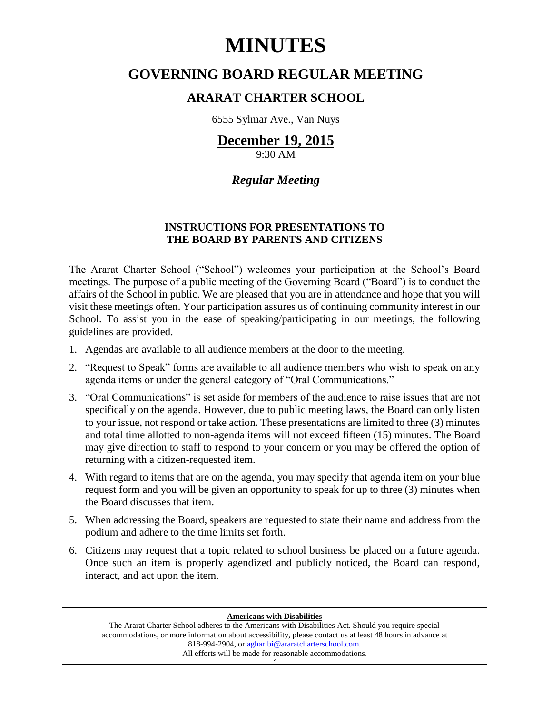# **MINUTES**

# **GOVERNING BOARD REGULAR MEETING**

# **ARARAT CHARTER SCHOOL**

6555 Sylmar Ave., Van Nuys

# **December 19, 2015**

9:30 AM

## *Regular Meeting*

### **INSTRUCTIONS FOR PRESENTATIONS TO THE BOARD BY PARENTS AND CITIZENS**

The Ararat Charter School ("School") welcomes your participation at the School's Board meetings. The purpose of a public meeting of the Governing Board ("Board") is to conduct the affairs of the School in public. We are pleased that you are in attendance and hope that you will visit these meetings often. Your participation assures us of continuing community interest in our School. To assist you in the ease of speaking/participating in our meetings, the following guidelines are provided.

- 1. Agendas are available to all audience members at the door to the meeting.
- 2. "Request to Speak" forms are available to all audience members who wish to speak on any agenda items or under the general category of "Oral Communications."
- 3. "Oral Communications" is set aside for members of the audience to raise issues that are not specifically on the agenda. However, due to public meeting laws, the Board can only listen to your issue, not respond or take action. These presentations are limited to three (3) minutes and total time allotted to non-agenda items will not exceed fifteen (15) minutes. The Board may give direction to staff to respond to your concern or you may be offered the option of returning with a citizen-requested item.
- 4. With regard to items that are on the agenda, you may specify that agenda item on your blue request form and you will be given an opportunity to speak for up to three (3) minutes when the Board discusses that item.
- 5. When addressing the Board, speakers are requested to state their name and address from the podium and adhere to the time limits set forth.
- 6. Citizens may request that a topic related to school business be placed on a future agenda. Once such an item is properly agendized and publicly noticed, the Board can respond, interact, and act upon the item.

#### **Americans with Disabilities**

The Ararat Charter School adheres to the Americans with Disabilities Act. Should you require special accommodations, or more information about accessibility, please contact us at least 48 hours in advance at 818-994-2904, or [agharibi@araratcharterschool.com.](mailto:agharibi@araratcharterschool.com)  All efforts will be made for reasonable accommodations.

1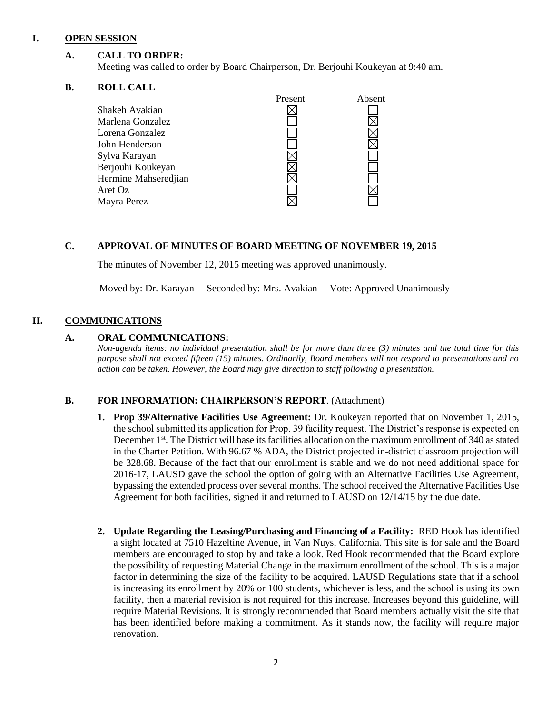#### **I. OPEN SESSION**

#### **A. CALL TO ORDER:**

Meeting was called to order by Board Chairperson, Dr. Berjouhi Koukeyan at 9:40 am.

#### **B. ROLL CALL**

|                      | Present | Absent |
|----------------------|---------|--------|
| Shakeh Avakian       |         |        |
| Marlena Gonzalez     |         |        |
| Lorena Gonzalez      |         |        |
| John Henderson       |         |        |
| Sylva Karayan        |         |        |
| Berjouhi Koukeyan    |         |        |
| Hermine Mahseredjian |         |        |
| Aret Oz              |         |        |
| Mayra Perez          |         |        |
|                      |         |        |

#### **C. APPROVAL OF MINUTES OF BOARD MEETING OF NOVEMBER 19, 2015**

The minutes of November 12, 2015 meeting was approved unanimously.

Moved by: Dr. Karayan Seconded by: Mrs. Avakian Vote: Approved Unanimously

#### **II. COMMUNICATIONS**

#### **A. ORAL COMMUNICATIONS:**

*Non-agenda items: no individual presentation shall be for more than three (3) minutes and the total time for this purpose shall not exceed fifteen (15) minutes. Ordinarily, Board members will not respond to presentations and no action can be taken. However, the Board may give direction to staff following a presentation.*

#### **B. FOR INFORMATION: CHAIRPERSON'S REPORT**. (Attachment)

- **1. Prop 39/Alternative Facilities Use Agreement:** Dr. Koukeyan reported that on November 1, 2015, the school submitted its application for Prop. 39 facility request. The District's response is expected on December 1<sup>st</sup>. The District will base its facilities allocation on the maximum enrollment of 340 as stated in the Charter Petition. With 96.67 % ADA, the District projected in-district classroom projection will be 328.68. Because of the fact that our enrollment is stable and we do not need additional space for 2016-17, LAUSD gave the school the option of going with an Alternative Facilities Use Agreement, bypassing the extended process over several months. The school received the Alternative Facilities Use Agreement for both facilities, signed it and returned to LAUSD on 12/14/15 by the due date.
- **2. Update Regarding the Leasing/Purchasing and Financing of a Facility:** RED Hook has identified a sight located at 7510 Hazeltine Avenue, in Van Nuys, California. This site is for sale and the Board members are encouraged to stop by and take a look. Red Hook recommended that the Board explore the possibility of requesting Material Change in the maximum enrollment of the school. This is a major factor in determining the size of the facility to be acquired. LAUSD Regulations state that if a school is increasing its enrollment by 20% or 100 students, whichever is less, and the school is using its own facility, then a material revision is not required for this increase. Increases beyond this guideline, will require Material Revisions. It is strongly recommended that Board members actually visit the site that has been identified before making a commitment. As it stands now, the facility will require major renovation.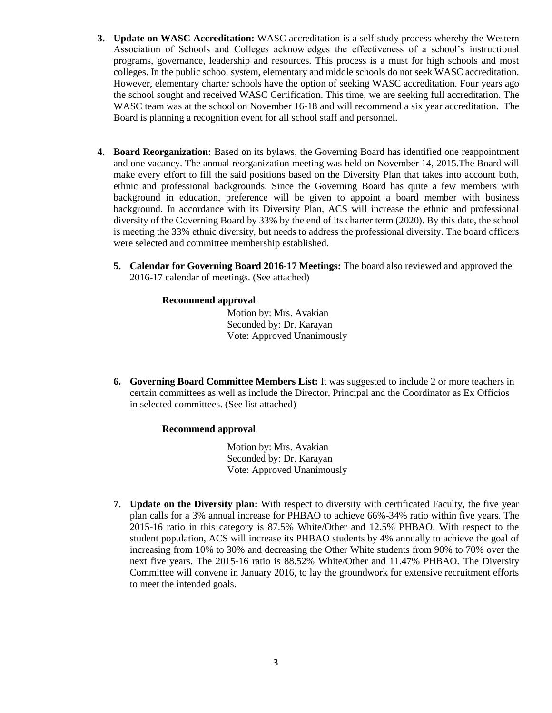- **3. Update on WASC Accreditation:** WASC accreditation is a self-study process whereby the Western Association of Schools and Colleges acknowledges the effectiveness of a school's instructional programs, governance, leadership and resources. This process is a must for high schools and most colleges. In the public school system, elementary and middle schools do not seek WASC accreditation. However, elementary charter schools have the option of seeking WASC accreditation. Four years ago the school sought and received WASC Certification. This time, we are seeking full accreditation. The WASC team was at the school on November 16-18 and will recommend a six year accreditation.The Board is planning a recognition event for all school staff and personnel.
- **4. Board Reorganization:** Based on its bylaws, the Governing Board has identified one reappointment and one vacancy. The annual reorganization meeting was held on November 14, 2015.The Board will make every effort to fill the said positions based on the Diversity Plan that takes into account both, ethnic and professional backgrounds. Since the Governing Board has quite a few members with background in education, preference will be given to appoint a board member with business background. In accordance with its Diversity Plan, ACS will increase the ethnic and professional diversity of the Governing Board by 33% by the end of its charter term (2020). By this date, the school is meeting the 33% ethnic diversity, but needs to address the professional diversity. The board officers were selected and committee membership established.
	- **5. Calendar for Governing Board 2016-17 Meetings:** The board also reviewed and approved the 2016-17 calendar of meetings. (See attached)

#### **Recommend approval**

 Motion by: Mrs. Avakian Seconded by: Dr. Karayan Vote: Approved Unanimously

**6. Governing Board Committee Members List:** It was suggested to include 2 or more teachers in certain committees as well as include the Director, Principal and the Coordinator as Ex Officios in selected committees. (See list attached)

#### **Recommend approval**

 Motion by: Mrs. Avakian Seconded by: Dr. Karayan Vote: Approved Unanimously

**7. Update on the Diversity plan:** With respect to diversity with certificated Faculty, the five year plan calls for a 3% annual increase for PHBAO to achieve 66%-34% ratio within five years. The 2015-16 ratio in this category is 87.5% White/Other and 12.5% PHBAO. With respect to the student population, ACS will increase its PHBAO students by 4% annually to achieve the goal of increasing from 10% to 30% and decreasing the Other White students from 90% to 70% over the next five years. The 2015-16 ratio is 88.52% White/Other and 11.47% PHBAO. The Diversity Committee will convene in January 2016, to lay the groundwork for extensive recruitment efforts to meet the intended goals.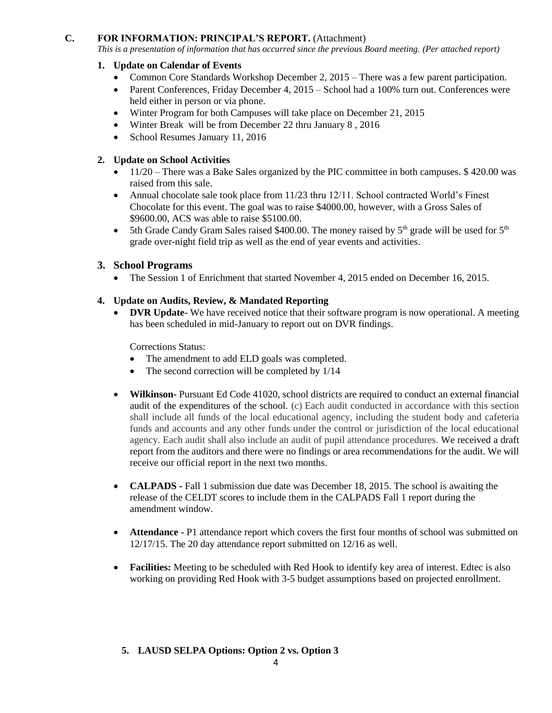#### **C. FOR INFORMATION: PRINCIPAL'S REPORT.** (Attachment)

*This is a presentation of information that has occurred since the previous Board meeting. (Per attached report)*

#### **1. Update on Calendar of Events**

- Common Core Standards Workshop December 2,  $2015$  There was a few parent participation.
- Parent Conferences, Friday December 4, 2015 School had a 100% turn out. Conferences were held either in person or via phone.
- Winter Program for both Campuses will take place on December 21, 2015
- Winter Break will be from December 22 thru January 8 , 2016
- School Resumes January 11, 2016

#### **2. Update on School Activities**

- 11/20 There was a Bake Sales organized by the PIC committee in both campuses. \$420.00 was raised from this sale.
- Annual chocolate sale took place from  $11/23$  thru  $12/11$ . School contracted World's Finest Chocolate for this event. The goal was to raise \$4000.00, however, with a Gross Sales of \$9600.00, ACS was able to raise \$5100.00.
- 5th Grade Candy Gram Sales raised \$400.00. The money raised by  $5<sup>th</sup>$  grade will be used for  $5<sup>th</sup>$ grade over-night field trip as well as the end of year events and activities.

#### **3. School Programs**

• The Session 1 of Enrichment that started November 4, 2015 ended on December 16, 2015.

#### **4. Update on Audits, Review, & Mandated Reporting**

• **DVR Update-** We have received notice that their software program is now operational. A meeting has been scheduled in mid-January to report out on DVR findings.

Corrections Status:

- The amendment to add ELD goals was completed.
- The second correction will be completed by  $1/14$
- **Wilkinson-** Pursuant Ed Code 41020, school districts are required to conduct an external financial audit of the expenditures of the school. (c) Each audit conducted in accordance with this section shall include all funds of the local educational agency, including the student body and cafeteria funds and accounts and any other funds under the control or jurisdiction of the local educational agency. Each audit shall also include an audit of pupil attendance procedures. We received a draft report from the auditors and there were no findings or area recommendations for the audit. We will receive our official report in the next two months.
- **CALPADS -** Fall 1 submission due date was December 18, 2015. The school is awaiting the release of the CELDT scores to include them in the CALPADS Fall 1 report during the amendment window.
- **Attendance -** P1 attendance report which covers the first four months of school was submitted on 12/17/15. The 20 day attendance report submitted on 12/16 as well.
- **Facilities:** Meeting to be scheduled with Red Hook to identify key area of interest. Edtec is also working on providing Red Hook with 3-5 budget assumptions based on projected enrollment.

#### **5. LAUSD SELPA Options: Option 2 vs. Option 3**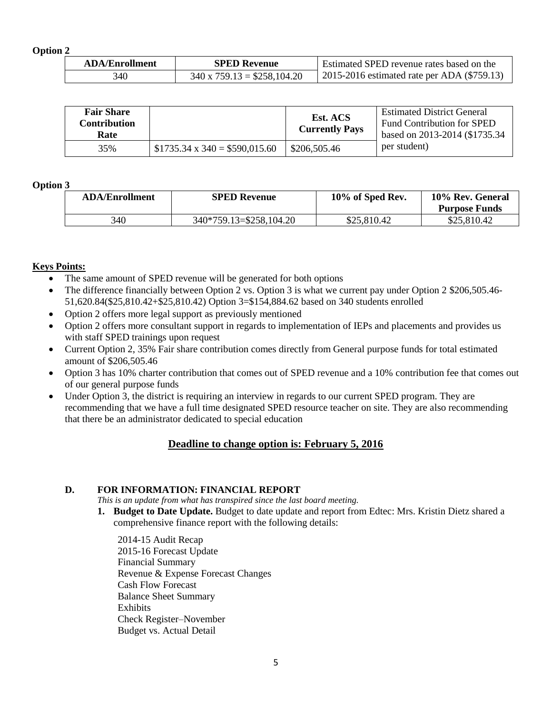**Option 2**

| <b>ADA/Enrollment</b> | <b>SPED Revenue</b>               | <b>Estimated SPED revenue rates based on the</b> |
|-----------------------|-----------------------------------|--------------------------------------------------|
| 340                   | $340 \times 759.13 = $258,104.20$ | 2015-2016 estimated rate per ADA (\$759.13)      |

| <b>Fair Share</b><br>Contribution<br>Rate |                                     | Est. ACS<br><b>Currently Pays</b> | <b>Estimated District General</b><br><b>Fund Contribution for SPED</b><br>based on 2013-2014 (\$1735.34) |
|-------------------------------------------|-------------------------------------|-----------------------------------|----------------------------------------------------------------------------------------------------------|
| 35%                                       | $$1735.34 \times 340 = $590,015.60$ | \$206,505.46                      | per student)                                                                                             |

#### **Option 3**

| <b>ADA/Enrollment</b> | <b>SPED Revenue</b>     | 10% of Sped Rev. | 10% Rev. General<br><b>Purpose Funds</b> |
|-----------------------|-------------------------|------------------|------------------------------------------|
| 340                   | 340*759.13=\$258,104.20 | \$25,810.42      | \$25,810.42                              |

#### **Keys Points:**

- The same amount of SPED revenue will be generated for both options
- The difference financially between Option 2 vs. Option 3 is what we current pay under Option 2 \$206,505.46-51,620.84(\$25,810.42+\$25,810.42) Option 3=\$154,884.62 based on 340 students enrolled
- Option 2 offers more legal support as previously mentioned
- Option 2 offers more consultant support in regards to implementation of IEPs and placements and provides us with staff SPED trainings upon request
- Current Option 2, 35% Fair share contribution comes directly from General purpose funds for total estimated amount of \$206,505.46
- Option 3 has 10% charter contribution that comes out of SPED revenue and a 10% contribution fee that comes out of our general purpose funds
- Under Option 3, the district is requiring an interview in regards to our current SPED program. They are recommending that we have a full time designated SPED resource teacher on site. They are also recommending that there be an administrator dedicated to special education

#### **Deadline to change option is: February 5, 2016**

#### **D. FOR INFORMATION: FINANCIAL REPORT**

*This is an update from what has transpired since the last board meeting.*

- **1. Budget to Date Update.** Budget to date update and report from Edtec: Mrs. Kristin Dietz shared a comprehensive finance report with the following details:
	- 2014-15 Audit Recap 2015-16 Forecast Update Financial Summary Revenue & Expense Forecast Changes Cash Flow Forecast Balance Sheet Summary Exhibits Check Register–November Budget vs. Actual Detail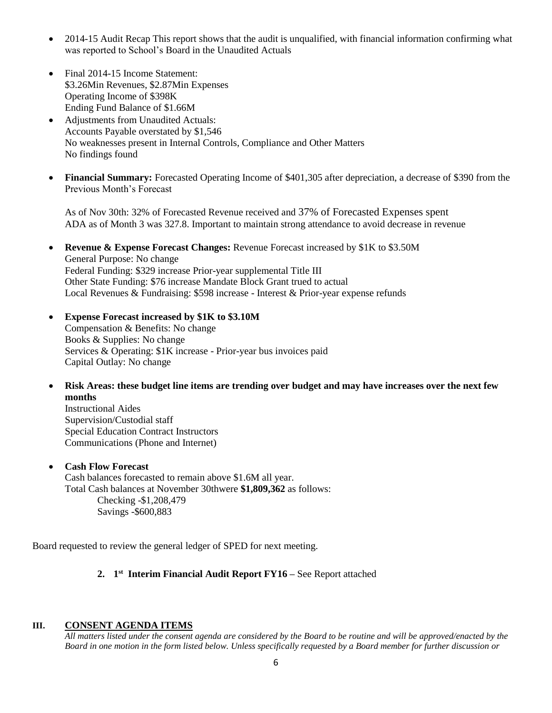- 2014-15 Audit Recap This report shows that the audit is unqualified, with financial information confirming what was reported to School's Board in the Unaudited Actuals
- Final 2014-15 Income Statement: \$3.26Min Revenues, \$2.87Min Expenses Operating Income of \$398K Ending Fund Balance of \$1.66M
- Adjustments from Unaudited Actuals: Accounts Payable overstated by \$1,546 No weaknesses present in Internal Controls, Compliance and Other Matters No findings found
- **Financial Summary:** Forecasted Operating Income of \$401,305 after depreciation, a decrease of \$390 from the Previous Month's Forecast

As of Nov 30th: 32% of Forecasted Revenue received and 37% of Forecasted Expenses spent ADA as of Month 3 was 327.8. Important to maintain strong attendance to avoid decrease in revenue

- **Revenue & Expense Forecast Changes:** Revenue Forecast increased by \$1K to \$3.50M General Purpose: No change Federal Funding: \$329 increase Prior-year supplemental Title III Other State Funding: \$76 increase Mandate Block Grant trued to actual Local Revenues & Fundraising: \$598 increase - Interest & Prior-year expense refunds
- **Expense Forecast increased by \$1K to \$3.10M** Compensation & Benefits: No change Books & Supplies: No change Services & Operating: \$1K increase - Prior-year bus invoices paid Capital Outlay: No change
- **Risk Areas: these budget line items are trending over budget and may have increases over the next few months**

Instructional Aides Supervision/Custodial staff Special Education Contract Instructors Communications (Phone and Internet)

#### **Cash Flow Forecast**

Cash balances forecasted to remain above \$1.6M all year. Total Cash balances at November 30thwere **\$1,809,362** as follows: Checking -\$1,208,479 Savings -\$600,883

Board requested to review the general ledger of SPED for next meeting.

#### **2. 1 st Interim Financial Audit Report FY16 –** See Report attached

#### **III. CONSENT AGENDA ITEMS**

*All matters listed under the consent agenda are considered by the Board to be routine and will be approved/enacted by the Board in one motion in the form listed below. Unless specifically requested by a Board member for further discussion or*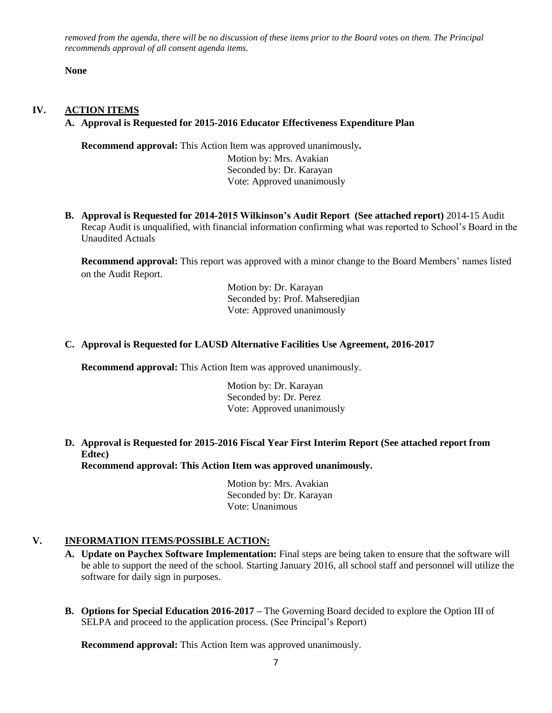*removed from the agenda, there will be no discussion of these items prior to the Board votes on them. The Principal recommends approval of all consent agenda items.*

**None**

#### **IV. ACTION ITEMS**

#### **A. Approval is Requested for 2015-2016 Educator Effectiveness Expenditure Plan**

**Recommend approval:** This Action Item was approved unanimously**.** Motion by: Mrs. Avakian Seconded by: Dr. Karayan Vote: Approved unanimously

**B. Approval is Requested for 2014-2015 Wilkinson's Audit Report (See attached report)** 2014-15 Audit Recap Audit is unqualified, with financial information confirming what was reported to School's Board in the Unaudited Actuals

**Recommend approval:** This report was approved with a minor change to the Board Members' names listed on the Audit Report.

> Motion by: Dr. Karayan Seconded by: Prof. Mahseredjian Vote: Approved unanimously

#### **C. Approval is Requested for LAUSD Alternative Facilities Use Agreement, 2016-2017**

**Recommend approval:** This Action Item was approved unanimously.

 Motion by: Dr. Karayan Seconded by: Dr. Perez Vote: Approved unanimously

#### **D. Approval is Requested for 2015-2016 Fiscal Year First Interim Report (See attached report from Edtec) Recommend approval: This Action Item was approved unanimously.**

 Motion by: Mrs. Avakian Seconded by: Dr. Karayan Vote: Unanimous

#### **V. INFORMATION ITEMS**/**POSSIBLE ACTION:**

- **A. Update on Paychex Software Implementation:** Final steps are being taken to ensure that the software will be able to support the need of the school. Starting January 2016, all school staff and personnel will utilize the software for daily sign in purposes.
- **B. Options for Special Education 2016-2017 –** The Governing Board decided to explore the Option III of SELPA and proceed to the application process. (See Principal's Report)

**Recommend approval:** This Action Item was approved unanimously.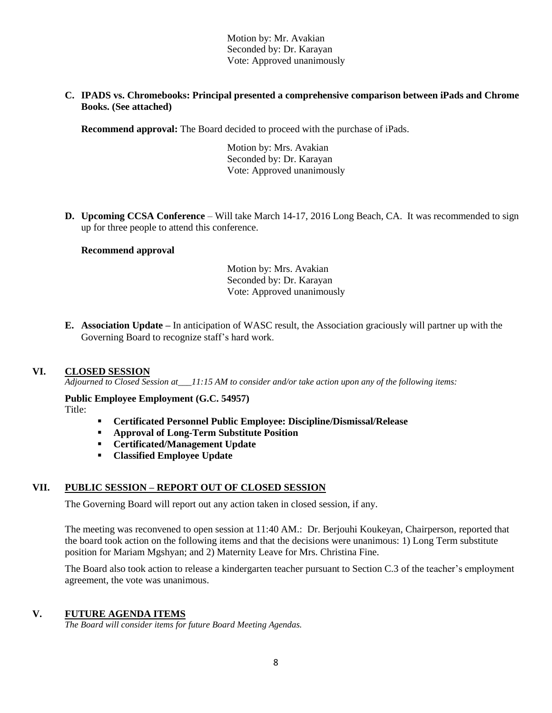Motion by: Mr. Avakian Seconded by: Dr. Karayan Vote: Approved unanimously

**C. IPADS vs. Chromebooks: Principal presented a comprehensive comparison between iPads and Chrome Books. (See attached)**

**Recommend approval:** The Board decided to proceed with the purchase of iPads.

 Motion by: Mrs. Avakian Seconded by: Dr. Karayan Vote: Approved unanimously

**D. Upcoming CCSA Conference** – Will take March 14-17, 2016 Long Beach, CA. It was recommended to sign up for three people to attend this conference.

#### **Recommend approval**

 Motion by: Mrs. Avakian Seconded by: Dr. Karayan Vote: Approved unanimously

**E. Association Update –** In anticipation of WASC result, the Association graciously will partner up with the Governing Board to recognize staff's hard work.

#### **VI. CLOSED SESSION**

*Adjourned to Closed Session at\_\_\_11:15 AM to consider and/or take action upon any of the following items:*

**Public Employee Employment (G.C. 54957)** Title:

- **Certificated Personnel Public Employee: Discipline/Dismissal/Release**
- **Approval of Long-Term Substitute Position**
- **Certificated/Management Update**
- **Classified Employee Update**

#### **VII. PUBLIC SESSION – REPORT OUT OF CLOSED SESSION**

The Governing Board will report out any action taken in closed session, if any.

The meeting was reconvened to open session at 11:40 AM.: Dr. Berjouhi Koukeyan, Chairperson, reported that the board took action on the following items and that the decisions were unanimous: 1) Long Term substitute position for Mariam Mgshyan; and 2) Maternity Leave for Mrs. Christina Fine.

The Board also took action to release a kindergarten teacher pursuant to Section C.3 of the teacher's employment agreement, the vote was unanimous.

#### **V. FUTURE AGENDA ITEMS**

*The Board will consider items for future Board Meeting Agendas.*